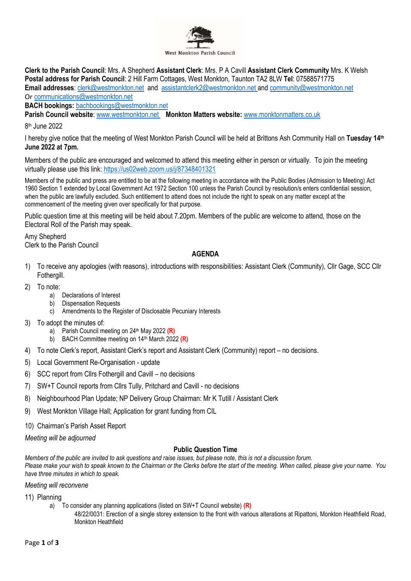

**Clerk to the Parish Council**: Mrs. A Shepherd **Assistant Clerk**: Mrs. P A Cavill **Assistant Clerk Community** Mrs. K Welsh **Postal address for Parish Council**: 2 Hill Farm Cottages, West Monkton, Taunton TA2 8LW **Tel**: 07588571775 **Email addresses**: [clerk@westmonkton.net](mailto:clerk@westmonkton.net) and [assistantclerk2@westmonkton.net](mailto:assistantclerk2@westmonkton.net) and [community@westmonkton.net](mailto:community@westmonkton.net) Or [communications@westmonkton.net](mailto:communications@westmonkton.net)

**BACH bookings:** [bachbookings@westmonkton.net](mailto:bachbookings@westmonkton.net)

**Parish Council website**: [www.westmonkton.net](http://www.westmonkton.net/) **Monkton Matters website:** [www.monktonmatters.co.uk](http://www.monktonmatters.co.uk/)

8 th June 2022

I hereby give notice that the meeting of West Monkton Parish Council will be held at Brittons Ash Community Hall on **Tuesday 14th June 2022 at 7pm.**

Members of the public are encouraged and welcomed to attend this meeting either in person or virtually. To join the meeting virtually please use this link:<https://us02web.zoom.us/j/87348401321>

Members of the public and press are entitled to be at the following meeting in accordance with the Public Bodies (Admission to Meeting) Act 1960 Section 1 extended by Local Government Act 1972 Section 100 unless the Parish Council by resolution/s enters confidential session, when the public are lawfully excluded. Such entitlement to attend does not include the right to speak on any matter except at the commencement of the meeting given over specifically for that purpose.

Public question time at this meeting will be held about 7.20pm. Members of the public are welcome to attend, those on the Electoral Roll of the Parish may speak.

Amy Shepherd Clerk to the Parish Council

## **AGENDA**

- 1) To receive any apologies (with reasons), introductions with responsibilities: Assistant Clerk (Community), Cllr Gage, SCC Cllr Fothergill.
- 2) To note:
	- a) Declarations of Interest
	- b) Dispensation Requests
	- c) Amendments to the Register of Disclosable Pecuniary Interests
- 3) To adopt the minutes of:
	- a) Parish Council meeting on 24<sup>th</sup> May 2022 (R)
	- b) BACH Committee meeting on 14th March 2022 **(R)**
- 4) To note Clerk's report, Assistant Clerk's report and Assistant Clerk (Community) report no decisions.
- 5) Local Government Re-Organisation update
- 6) SCC report from Cllrs Fothergill and Cavill no decisions
- 7) SW+T Council reports from Cllrs Tully, Pritchard and Cavill no decisions
- 8) Neighbourhood Plan Update; NP Delivery Group Chairman: Mr K Tutill / Assistant Clerk
- 9) West Monkton Village Hall; Application for grant funding from CIL
- 10) Chairman's Parish Asset Report

*Meeting will be adjourned*

## **Public Question Time**

*Members of the public are invited to ask questions and raise issues, but please note, this is not a discussion forum. Please make your wish to speak known to the Chairman or the Clerks before the start of the meeting. When called, please give your name. You have three minutes in which to speak.*

*Meeting will reconvene*

11) Planning

- a) To consider any planning applications (listed on SW+T Council website) **(R)**
	- 48/22/0031: Erection of a single storey extension to the front with various alterations at Ripattoni, Monkton Heathfield Road, Monkton Heathfield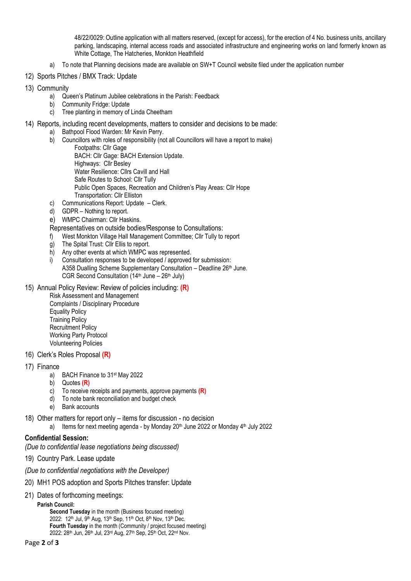48/22/0029: Outline application with all matters reserved, (except for access), for the erection of 4 No. business units, ancillary parking, landscaping, internal access roads and associated infrastructure and engineering works on land formerly known as White Cottage, The Hatcheries, Monkton Heathfield

- a) To note that Planning decisions made are available on SW+T Council website filed under the application number
- 12) Sports Pitches / BMX Track: Update
- 13) Community
	- a) Queen's Platinum Jubilee celebrations in the Parish: Feedback
	- b) Community Fridge: Update
	- c) Tree planting in memory of Linda Cheetham
- 14) Reports, including recent developments, matters to consider and decisions to be made:
	- a) Bathpool Flood Warden: Mr Kevin Perry.
	- b) Councillors with roles of responsibility (not all Councillors will have a report to make) Footpaths: Cllr Gage BACH: Cllr Gage: BACH Extension Update. Highways: Cllr Besley Water Resilience: Cllrs Cavill and Hall Safe Routes to School: Cllr Tully Public Open Spaces, Recreation and Children's Play Areas: Cllr Hope Transportation: Cllr Elliston
	- c) Communications Report: Update Clerk.
	- d) GDPR Nothing to report.
	- e) WMPC Chairman: Cllr Haskins.
	- Representatives on outside bodies/Response to Consultations:
	- f) West Monkton Village Hall Management Committee; Cllr Tully to report
	- g) The Spital Trust: Cllr Ellis to report.
	- h) Any other events at which WMPC was represented.
	- $i)$  Consultation responses to be developed *l* approved for submission: A358 Dualling Scheme Supplementary Consultation – Deadline 26th June. CGR Second Consultation  $(14<sup>th</sup>$  June – 26<sup>th</sup> July)
- 15) Annual Policy Review: Review of policies including: **(R)**

Risk Assessment and Management Complaints / Disciplinary Procedure Equality Policy Training Policy Recruitment Policy Working Party Protocol Volunteering Policies

- 16) Clerk's Roles Proposal **(R)**
- 17) Finance
	- a) BACH Finance to 31st May 2022
	- b) Quotes **(R)**
	- c) To receive receipts and payments, approve payments **(R)**
	- d) To note bank reconciliation and budget check
	- e) Bank accounts
- 18) Other matters for report only items for discussion no decision
	- a) Items for next meeting agenda by Monday 20<sup>th</sup> June 2022 or Monday 4<sup>th</sup> July 2022

## **Confidential Session:**

- *(Due to confidential lease negotiations being discussed)*
- 19) Country Park. Lease update
- *(Due to confidential negotiations with the Developer)*
- 20) MH1 POS adoption and Sports Pitches transfer: Update
- 21) Dates of forthcoming meetings:

**Parish Council:**

**Second Tuesday** in the month (Business focused meeting) 2022:  $12^{th}$  Jul,  $9^{th}$  Aug,  $13^{th}$  Sep,  $11^{th}$  Oct,  $8^{th}$  Nov,  $13^{th}$  Dec. **Fourth Tuesday** in the month (Community / project focused meeting) 2022: 28th Jun, 26th Jul, 23rd Aug, 27th Sep, 25th Oct, 22nd Nov.